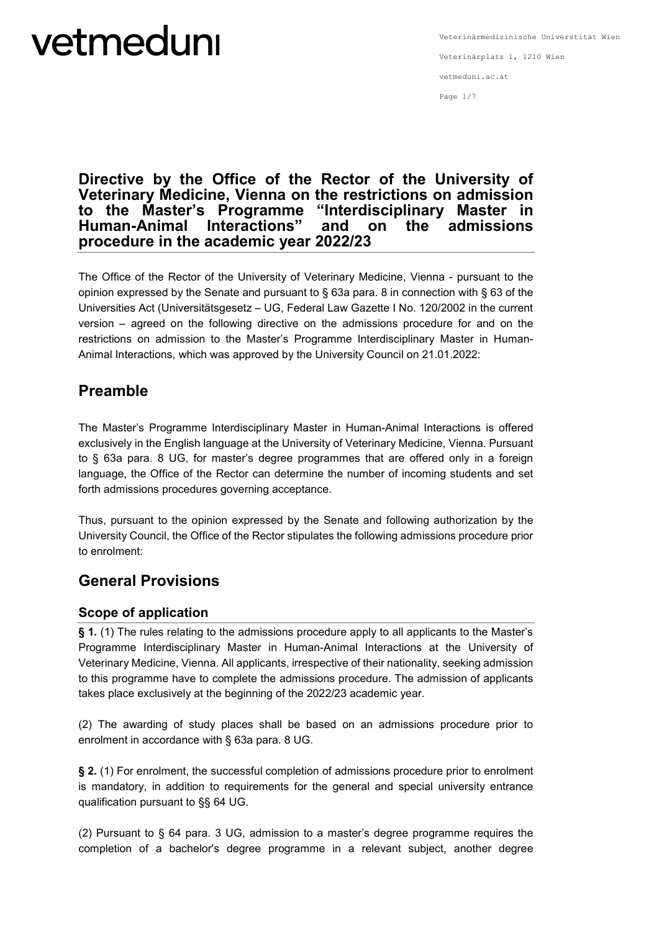#### Page 1/7

### **Directive by the Office of the Rector of the University of Veterinary Medicine, Vienna on the restrictions on admission to the Master's Programme "Interdisciplinary Master in Human-Animal Interactions**" and on **procedure in the academic year 2022/23**

The Office of the Rector of the University of Veterinary Medicine, Vienna - pursuant to the opinion expressed by the Senate and pursuant to § 63a para. 8 in connection with § 63 of the Universities Act (Universitätsgesetz – UG, Federal Law Gazette I No. 120/2002 in the current version – agreed on the following directive on the admissions procedure for and on the restrictions on admission to the Master's Programme Interdisciplinary Master in Human-Animal Interactions, which was approved by the University Council on 21.01.2022:

### **Preamble**

The Master's Programme Interdisciplinary Master in Human-Animal Interactions is offered exclusively in the English language at the University of Veterinary Medicine, Vienna. Pursuant to § 63a para. 8 UG, for master's degree programmes that are offered only in a foreign language, the Office of the Rector can determine the number of incoming students and set forth admissions procedures governing acceptance.

Thus, pursuant to the opinion expressed by the Senate and following authorization by the University Council, the Office of the Rector stipulates the following admissions procedure prior to enrolment:

### **General Provisions**

### **Scope of application**

**§ 1.** (1) The rules relating to the admissions procedure apply to all applicants to the Master's Programme Interdisciplinary Master in Human-Animal Interactions at the University of Veterinary Medicine, Vienna. All applicants, irrespective of their nationality, seeking admission to this programme have to complete the admissions procedure. The admission of applicants takes place exclusively at the beginning of the 2022/23 academic year.

(2) The awarding of study places shall be based on an admissions procedure prior to enrolment in accordance with § 63a para. 8 UG.

**§ 2.** (1) For enrolment, the successful completion of admissions procedure prior to enrolment is mandatory, in addition to requirements for the general and special university entrance qualification pursuant to §§ 64 UG.

(2) Pursuant to § 64 para. 3 UG, admission to a master's degree programme requires the completion of a bachelor's degree programme in a relevant subject, another degree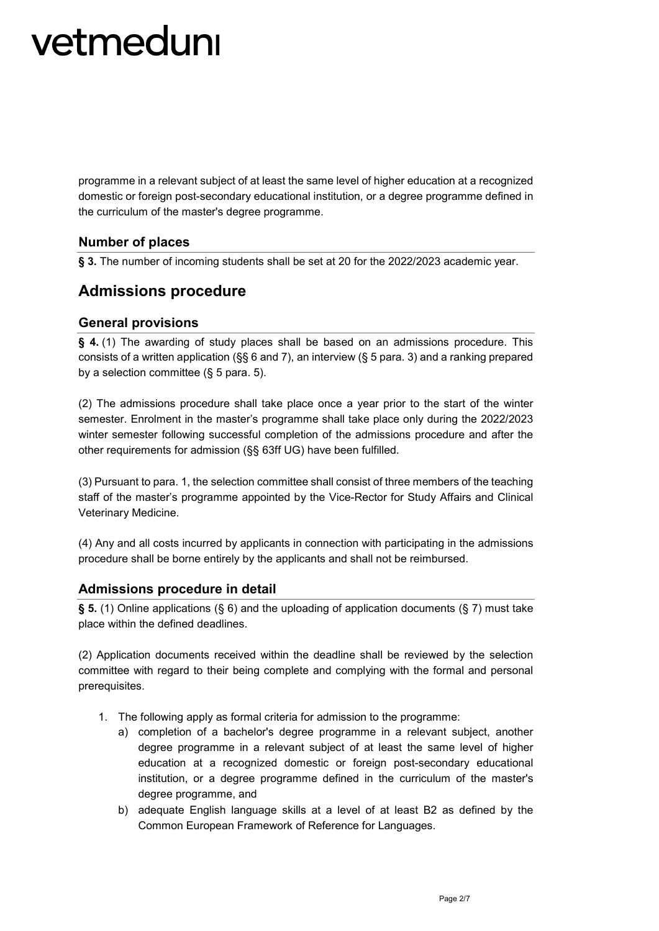programme in a relevant subject of at least the same level of higher education at a recognized domestic or foreign post-secondary educational institution, or a degree programme defined in the curriculum of the master's degree programme.

### **Number of places**

**§ 3.** The number of incoming students shall be set at 20 for the 2022/2023 academic year.

### **Admissions procedure**

#### **General provisions**

**§ 4.** (1) The awarding of study places shall be based on an admissions procedure. This consists of a written application (§§ 6 and 7), an interview (§ 5 para. 3) and a ranking prepared by a selection committee (§ 5 para. 5).

(2) The admissions procedure shall take place once a year prior to the start of the winter semester. Enrolment in the master's programme shall take place only during the 2022/2023 winter semester following successful completion of the admissions procedure and after the other requirements for admission (§§ 63ff UG) have been fulfilled.

(3) Pursuant to para. 1, the selection committee shall consist of three members of the teaching staff of the master's programme appointed by the Vice-Rector for Study Affairs and Clinical Veterinary Medicine.

(4) Any and all costs incurred by applicants in connection with participating in the admissions procedure shall be borne entirely by the applicants and shall not be reimbursed.

#### **Admissions procedure in detail**

**§ 5.** (1) Online applications (§ 6) and the uploading of application documents (§ 7) must take place within the defined deadlines.

(2) Application documents received within the deadline shall be reviewed by the selection committee with regard to their being complete and complying with the formal and personal prerequisites.

- 1. The following apply as formal criteria for admission to the programme:
	- a) completion of a bachelor's degree programme in a relevant subject, another degree programme in a relevant subject of at least the same level of higher education at a recognized domestic or foreign post-secondary educational institution, or a degree programme defined in the curriculum of the master's degree programme, and
	- b) adequate English language skills at a level of at least B2 as defined by the Common European Framework of Reference for Languages.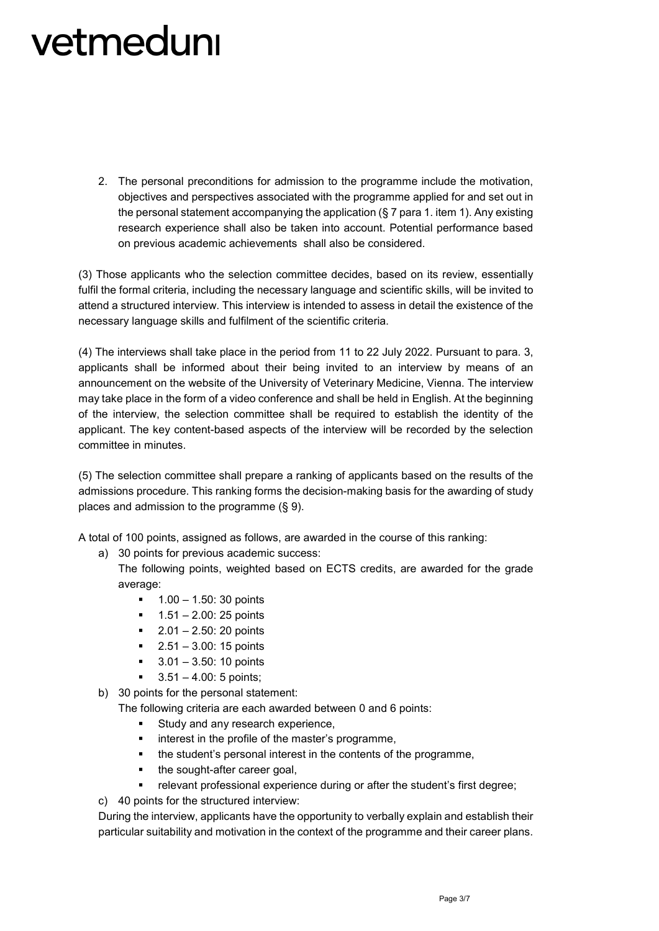2. The personal preconditions for admission to the programme include the motivation, objectives and perspectives associated with the programme applied for and set out in the personal statement accompanying the application  $(\S 7)$  para 1. item 1). Any existing research experience shall also be taken into account. Potential performance based on previous academic achievements shall also be considered.

(3) Those applicants who the selection committee decides, based on its review, essentially fulfil the formal criteria, including the necessary language and scientific skills, will be invited to attend a structured interview. This interview is intended to assess in detail the existence of the necessary language skills and fulfilment of the scientific criteria.

(4) The interviews shall take place in the period from 11 to 22 July 2022. Pursuant to para. 3, applicants shall be informed about their being invited to an interview by means of an announcement on the website of the University of Veterinary Medicine, Vienna. The interview may take place in the form of a video conference and shall be held in English. At the beginning of the interview, the selection committee shall be required to establish the identity of the applicant. The key content-based aspects of the interview will be recorded by the selection committee in minutes.

(5) The selection committee shall prepare a ranking of applicants based on the results of the admissions procedure. This ranking forms the decision-making basis for the awarding of study places and admission to the programme (§ 9).

A total of 100 points, assigned as follows, are awarded in the course of this ranking:

a) 30 points for previous academic success:

The following points, weighted based on ECTS credits, are awarded for the grade average:

- $1.00 1.50$ : 30 points
- $1.51 2.00$ : 25 points
- $-2.01 2.50$ : 20 points
- $-2.51 3.00$ : 15 points
- 3.01 3.50: 10 points
- 3.51 4.00: 5 points;

b) 30 points for the personal statement:

The following criteria are each awarded between 0 and 6 points:

- Study and any research experience,
- interest in the profile of the master's programme,
- the student's personal interest in the contents of the programme,
- the sought-after career goal,
- relevant professional experience during or after the student's first degree;

c) 40 points for the structured interview:

During the interview, applicants have the opportunity to verbally explain and establish their particular suitability and motivation in the context of the programme and their career plans.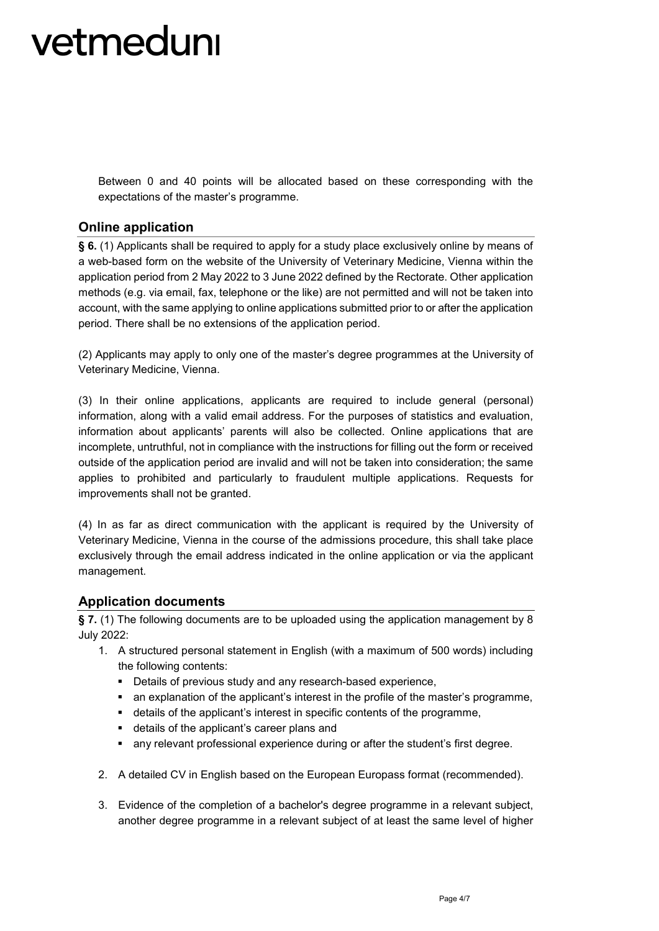Between 0 and 40 points will be allocated based on these corresponding with the expectations of the master's programme.

### **Online application**

**§ 6.** (1) Applicants shall be required to apply for a study place exclusively online by means of a web-based form on the website of the University of Veterinary Medicine, Vienna within the application period from 2 May 2022 to 3 June 2022 defined by the Rectorate. Other application methods (e.g. via email, fax, telephone or the like) are not permitted and will not be taken into account, with the same applying to online applications submitted prior to or after the application period. There shall be no extensions of the application period.

(2) Applicants may apply to only one of the master's degree programmes at the University of Veterinary Medicine, Vienna.

(3) In their online applications, applicants are required to include general (personal) information, along with a valid email address. For the purposes of statistics and evaluation, information about applicants' parents will also be collected. Online applications that are incomplete, untruthful, not in compliance with the instructions for filling out the form or received outside of the application period are invalid and will not be taken into consideration; the same applies to prohibited and particularly to fraudulent multiple applications. Requests for improvements shall not be granted.

(4) In as far as direct communication with the applicant is required by the University of Veterinary Medicine, Vienna in the course of the admissions procedure, this shall take place exclusively through the email address indicated in the online application or via the applicant management.

#### **Application documents**

**§ 7.** (1) The following documents are to be uploaded using the application management by 8 July 2022:

- 1. A structured personal statement in English (with a maximum of 500 words) including the following contents:
	- Details of previous study and any research-based experience,
	- an explanation of the applicant's interest in the profile of the master's programme,
	- details of the applicant's interest in specific contents of the programme,
	- details of the applicant's career plans and
	- any relevant professional experience during or after the student's first degree.
- 2. A detailed CV in English based on the European Europass format (recommended).
- 3. Evidence of the completion of a bachelor's degree programme in a relevant subject, another degree programme in a relevant subject of at least the same level of higher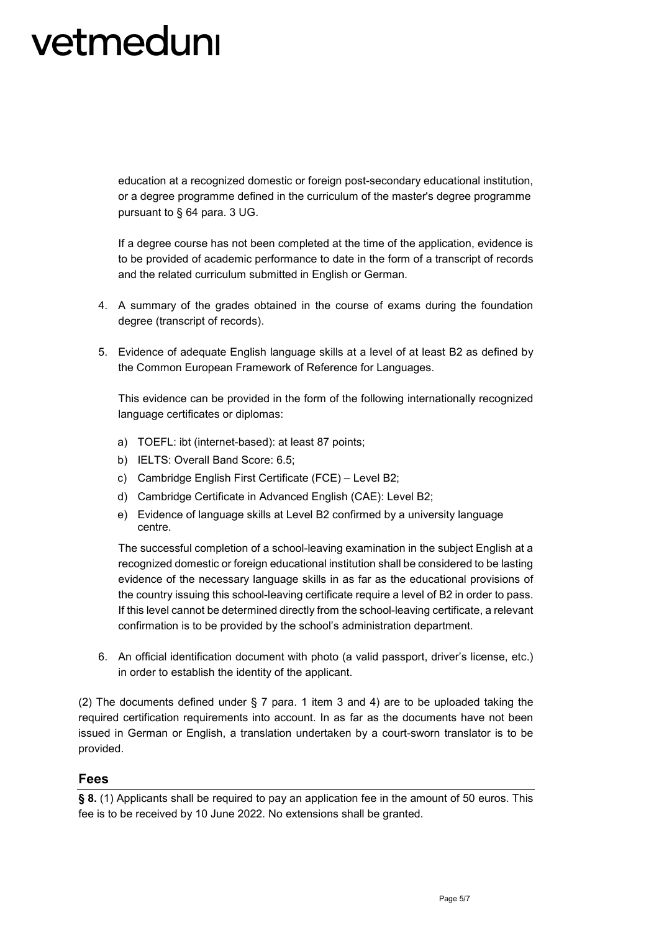education at a recognized domestic or foreign post-secondary educational institution, or a degree programme defined in the curriculum of the master's degree programme pursuant to § 64 para. 3 UG.

If a degree course has not been completed at the time of the application, evidence is to be provided of academic performance to date in the form of a transcript of records and the related curriculum submitted in English or German.

- 4. A summary of the grades obtained in the course of exams during the foundation degree (transcript of records).
- 5. Evidence of adequate English language skills at a level of at least B2 as defined by the Common European Framework of Reference for Languages.

This evidence can be provided in the form of the following internationally recognized language certificates or diplomas:

- a) TOEFL: ibt (internet-based): at least 87 points;
- b) IELTS: Overall Band Score: 6.5;
- c) Cambridge English First Certificate (FCE) Level B2;
- d) Cambridge Certificate in Advanced English (CAE): Level B2;
- e) Evidence of language skills at Level B2 confirmed by a university language centre.

The successful completion of a school-leaving examination in the subject English at a recognized domestic or foreign educational institution shall be considered to be lasting evidence of the necessary language skills in as far as the educational provisions of the country issuing this school-leaving certificate require a level of B2 in order to pass. If this level cannot be determined directly from the school-leaving certificate, a relevant confirmation is to be provided by the school's administration department.

6. An official identification document with photo (a valid passport, driver's license, etc.) in order to establish the identity of the applicant.

(2) The documents defined under § 7 para. 1 item 3 and 4) are to be uploaded taking the required certification requirements into account. In as far as the documents have not been issued in German or English, a translation undertaken by a court-sworn translator is to be provided.

#### **Fees**

**§ 8.** (1) Applicants shall be required to pay an application fee in the amount of 50 euros. This fee is to be received by 10 June 2022. No extensions shall be granted.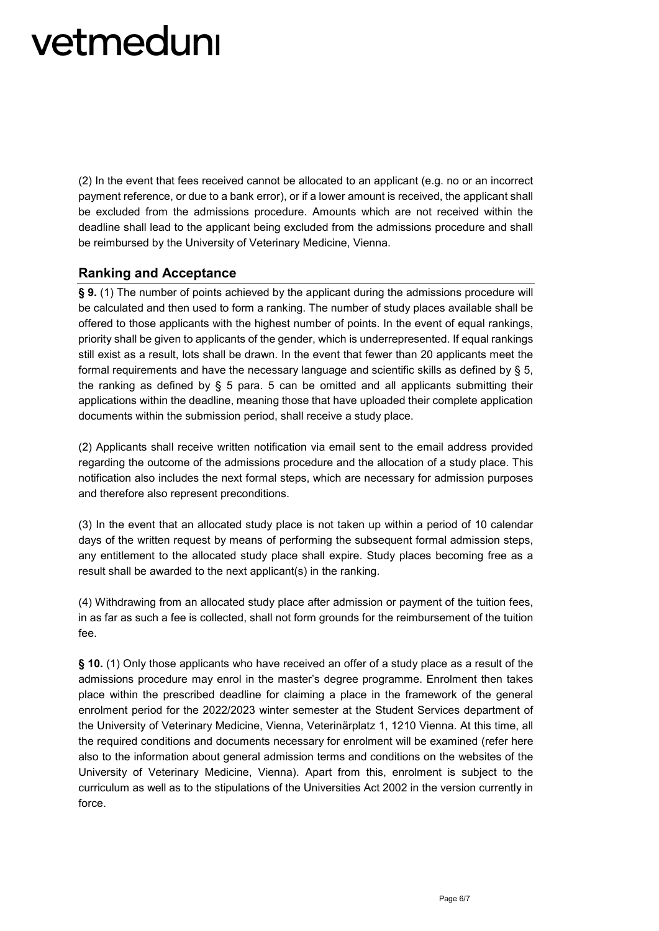(2) In the event that fees received cannot be allocated to an applicant (e.g. no or an incorrect payment reference, or due to a bank error), or if a lower amount is received, the applicant shall be excluded from the admissions procedure. Amounts which are not received within the deadline shall lead to the applicant being excluded from the admissions procedure and shall be reimbursed by the University of Veterinary Medicine, Vienna.

#### **Ranking and Acceptance**

**§ 9.** (1) The number of points achieved by the applicant during the admissions procedure will be calculated and then used to form a ranking. The number of study places available shall be offered to those applicants with the highest number of points. In the event of equal rankings, priority shall be given to applicants of the gender, which is underrepresented. If equal rankings still exist as a result, lots shall be drawn. In the event that fewer than 20 applicants meet the formal requirements and have the necessary language and scientific skills as defined by § 5, the ranking as defined by  $\S$  5 para. 5 can be omitted and all applicants submitting their applications within the deadline, meaning those that have uploaded their complete application documents within the submission period, shall receive a study place.

(2) Applicants shall receive written notification via email sent to the email address provided regarding the outcome of the admissions procedure and the allocation of a study place. This notification also includes the next formal steps, which are necessary for admission purposes and therefore also represent preconditions.

(3) In the event that an allocated study place is not taken up within a period of 10 calendar days of the written request by means of performing the subsequent formal admission steps, any entitlement to the allocated study place shall expire. Study places becoming free as a result shall be awarded to the next applicant(s) in the ranking.

(4) Withdrawing from an allocated study place after admission or payment of the tuition fees, in as far as such a fee is collected, shall not form grounds for the reimbursement of the tuition fee.

**§ 10.** (1) Only those applicants who have received an offer of a study place as a result of the admissions procedure may enrol in the master's degree programme. Enrolment then takes place within the prescribed deadline for claiming a place in the framework of the general enrolment period for the 2022/2023 winter semester at the Student Services department of the University of Veterinary Medicine, Vienna, Veterinärplatz 1, 1210 Vienna. At this time, all the required conditions and documents necessary for enrolment will be examined (refer here also to the information about general admission terms and conditions on the websites of the University of Veterinary Medicine, Vienna). Apart from this, enrolment is subject to the curriculum as well as to the stipulations of the Universities Act 2002 in the version currently in force.